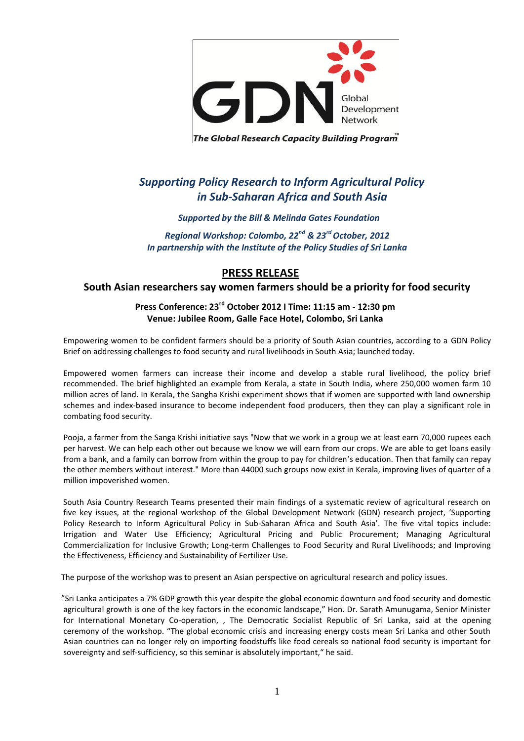

The Global Research Capacity Building Program

# *Supporting Policy Research to Inform Agricultural Policy in Sub-Saharan Africa and South Asia*

#### *Supported by the Bill & Melinda Gates Foundation*

*Regional Workshop: Colombo, 22nd & 23rd October, 2012 In partnership with the Institute of the Policy Studies of Sri Lanka*

## **PRESS RELEASE**

#### **South Asian researchers say women farmers should be a priority for food security**

### **Press Conference: 23rd October 2012 I Time: 11:15 am - 12:30 pm Venue: Jubilee Room, Galle Face Hotel, Colombo, Sri Lanka**

Empowering women to be confident farmers should be a priority of South Asian countries, according to a GDN Policy Brief on addressing challenges to food security and rural livelihoods in South Asia; launched today.

Empowered women farmers can increase their income and develop a stable rural livelihood, the policy brief recommended. The brief highlighted an example from Kerala, a state in South India, where 250,000 women farm 10 million acres of land. In Kerala, the Sangha Krishi experiment shows that if women are supported with land ownership schemes and index-based insurance to become independent food producers, then they can play a significant role in combating food security.

Pooja, a farmer from the Sanga Krishi initiative says "Now that we work in a group we at least earn 70,000 rupees each per harvest. We can help each other out because we know we will earn from our crops. We are able to get loans easily from a bank, and a family can borrow from within the group to pay for children's education. Then that family can repay the other members without interest." More than 44000 such groups now exist in Kerala, improving lives of quarter of a million impoverished women.

South Asia Country Research Teams presented their main findings of a systematic review of agricultural research on five key issues, at the regional workshop of the Global Development Network (GDN) research project, 'Supporting Policy Research to Inform Agricultural Policy in Sub-Saharan Africa and South Asia'. The five vital topics include: Irrigation and Water Use Efficiency; Agricultural Pricing and Public Procurement; Managing Agricultural Commercialization for Inclusive Growth; Long-term Challenges to Food Security and Rural Livelihoods; and Improving the Effectiveness, Efficiency and Sustainability of Fertilizer Use.

The purpose of the workshop was to present an Asian perspective on agricultural research and policy issues.

"Sri Lanka anticipates a 7% GDP growth this year despite the global economic downturn and food security and domestic agricultural growth is one of the key factors in the economic landscape," Hon. Dr. Sarath Amunugama, Senior Minister for International Monetary Co-operation, , The Democratic Socialist Republic of Sri Lanka, said at the opening ceremony of the workshop. "The global economic crisis and increasing energy costs mean Sri Lanka and other South Asian countries can no longer rely on importing foodstuffs like food cereals so national food security is important for sovereignty and self-sufficiency, so this seminar is absolutely important," he said.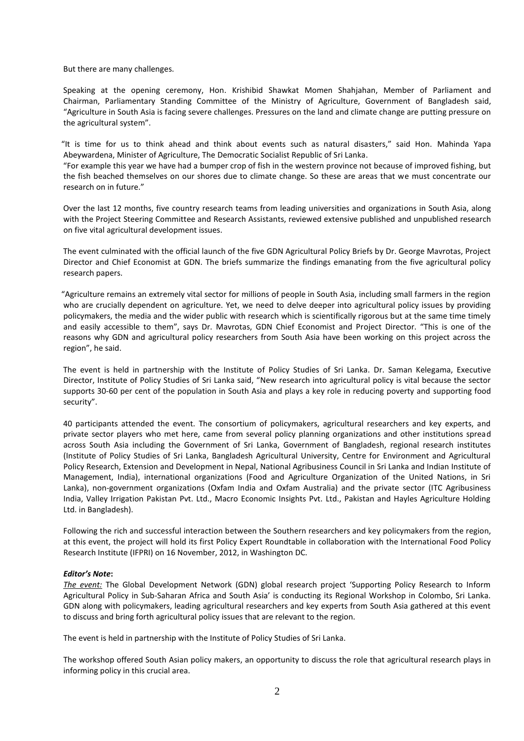But there are many challenges.

Speaking at the opening ceremony, Hon. Krishibid Shawkat Momen Shahjahan, Member of Parliament and Chairman, Parliamentary Standing Committee of the Ministry of Agriculture, Government of Bangladesh said, "Agriculture in South Asia is facing severe challenges. Pressures on the land and climate change are putting pressure on the agricultural system".

"It is time for us to think ahead and think about events such as natural disasters," said Hon. Mahinda Yapa Abeywardena, Minister of Agriculture, The Democratic Socialist Republic of Sri Lanka.

"For example this year we have had a bumper crop of fish in the western province not because of improved fishing, but the fish beached themselves on our shores due to climate change. So these are areas that we must concentrate our research on in future."

Over the last 12 months, five country research teams from leading universities and organizations in South Asia, along with the Project Steering Committee and Research Assistants, reviewed extensive published and unpublished research on five vital agricultural development issues.

The event culminated with the official launch of the five GDN Agricultural Policy Briefs by Dr. George Mavrotas, Project Director and Chief Economist at GDN. The briefs summarize the findings emanating from the five agricultural policy research papers.

"Agriculture remains an extremely vital sector for millions of people in South Asia, including small farmers in the region who are crucially dependent on agriculture. Yet, we need to delve deeper into agricultural policy issues by providing policymakers, the media and the wider public with research which is scientifically rigorous but at the same time timely and easily accessible to them", says Dr. Mavrotas, GDN Chief Economist and Project Director. "This is one of the reasons why GDN and agricultural policy researchers from South Asia have been working on this project across the region", he said.

The event is held in partnership with the Institute of Policy Studies of Sri Lanka. Dr. Saman Kelegama, Executive Director, Institute of Policy Studies of Sri Lanka said, "New research into agricultural policy is vital because the sector supports 30-60 per cent of the population in South Asia and plays a key role in reducing poverty and supporting food security".

40 participants attended the event. The consortium of policymakers, agricultural researchers and key experts, and private sector players who met here, came from several policy planning organizations and other institutions spread across South Asia including the Government of Sri Lanka, Government of Bangladesh, regional research institutes (Institute of Policy Studies of Sri Lanka, Bangladesh Agricultural University, Centre for Environment and Agricultural Policy Research, Extension and Development in Nepal, National Agribusiness Council in Sri Lanka and Indian Institute of Management, India), international organizations (Food and Agriculture Organization of the United Nations, in Sri Lanka), non-government organizations (Oxfam India and Oxfam Australia) and the private sector (ITC Agribusiness India, Valley Irrigation Pakistan Pvt. Ltd., Macro Economic Insights Pvt. Ltd., Pakistan and Hayles Agriculture Holding Ltd. in Bangladesh).

Following the rich and successful interaction between the Southern researchers and key policymakers from the region, at this event, the project will hold its first Policy Expert Roundtable in collaboration with the International Food Policy Research Institute (IFPRI) on 16 November, 2012, in Washington DC.

#### *Editor's Note***:**

*The event:* The Global Development Network (GDN) global research project 'Supporting Policy Research to Inform Agricultural Policy in Sub-Saharan Africa and South Asia' is conducting its Regional Workshop in Colombo, Sri Lanka. GDN along with policymakers, leading agricultural researchers and key experts from South Asia gathered at this event to discuss and bring forth agricultural policy issues that are relevant to the region.

The event is held in partnership with the Institute of Policy Studies of Sri Lanka.

The workshop offered South Asian policy makers, an opportunity to discuss the role that agricultural research plays in informing policy in this crucial area.